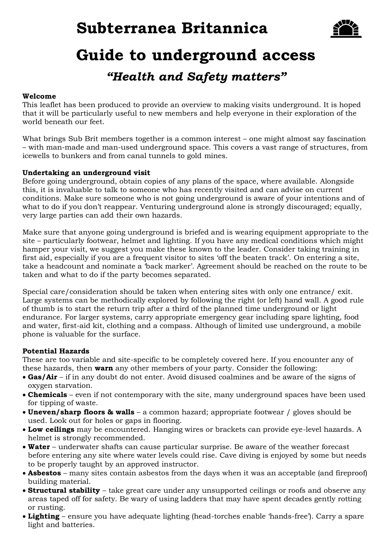# **Subterranea Britannica**



# **Guide to underground access** *"Health and Safety matters"*

# **Welcome**

This leaflet has been produced to provide an overview to making visits underground. It is hoped that it will be particularly useful to new members and help everyone in their exploration of the world beneath our feet.

What brings Sub Brit members together is a common interest – one might almost say fascination – with man-made and man-used underground space. This covers a vast range of structures, from icewells to bunkers and from canal tunnels to gold mines.

## **Undertaking an underground visit**

Before going underground, obtain copies of any plans of the space, where available. Alongside this, it is invaluable to talk to someone who has recently visited and can advise on current conditions. Make sure someone who is not going underground is aware of your intentions and of what to do if you don't reappear. Venturing underground alone is strongly discouraged; equally, very large parties can add their own hazards.

Make sure that anyone going underground is briefed and is wearing equipment appropriate to the site – particularly footwear, helmet and lighting. If you have any medical conditions which might hamper your visit, we suggest you make these known to the leader. Consider taking training in first aid, especially if you are a frequent visitor to sites 'off the beaten track'. On entering a site, take a headcount and nominate a 'back marker'. Agreement should be reached on the route to be taken and what to do if the party becomes separated.

Special care/consideration should be taken when entering sites with only one entrance/ exit. Large systems can be methodically explored by following the right (or left) hand wall. A good rule of thumb is to start the return trip after a third of the planned time underground or light endurance. For larger systems, carry appropriate emergency gear including spare lighting, food and water, first-aid kit, clothing and a compass. Although of limited use underground, a mobile phone is valuable for the surface.

# **Potential Hazards**

These are too variable and site-specific to be completely covered here. If you encounter any of these hazards, then **warn** any other members of your party. Consider the following:

- **Gas/Air** if in any doubt do not enter. Avoid disused coalmines and be aware of the signs of oxygen starvation.
- **Chemicals** even if not contemporary with the site, many underground spaces have been used for tipping of waste.
- **Uneven/sharp floors & walls** a common hazard; appropriate footwear / gloves should be used. Look out for holes or gaps in flooring.
- **Low ceilings** may be encountered. Hanging wires or brackets can provide eye-level hazards. A helmet is strongly recommended.
- **Water** underwater shafts can cause particular surprise. Be aware of the weather forecast before entering any site where water levels could rise. Cave diving is enjoyed by some but needs to be properly taught by an approved instructor.
- **Asbestos** many sites contain asbestos from the days when it was an acceptable (and fireproof) building material.
- **Structural stability** take great care under any unsupported ceilings or roofs and observe any areas taped off for safety. Be wary of using ladders that may have spent decades gently rotting or rusting.
- **Lighting** ensure you have adequate lighting (head-torches enable 'hands-free'). Carry a spare light and batteries.